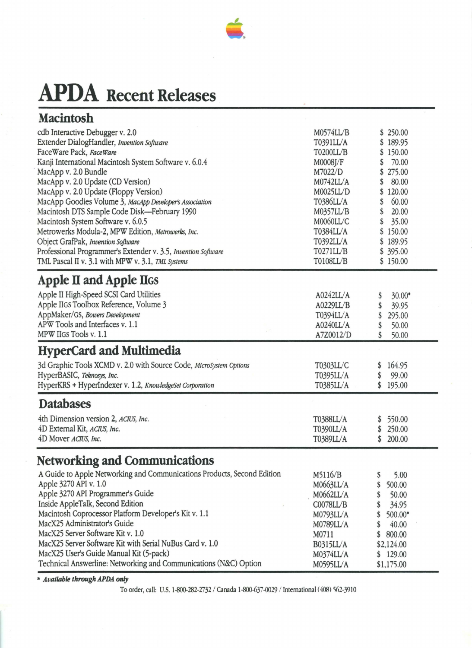

# **APDA Recent Releases**

| <b>Macintosh</b>                                                                                                                                                                                                                                                                                                                                                                                                                                                                                                           |                                                                                                                                                       |                                                                                                                                               |  |
|----------------------------------------------------------------------------------------------------------------------------------------------------------------------------------------------------------------------------------------------------------------------------------------------------------------------------------------------------------------------------------------------------------------------------------------------------------------------------------------------------------------------------|-------------------------------------------------------------------------------------------------------------------------------------------------------|-----------------------------------------------------------------------------------------------------------------------------------------------|--|
| cdb Interactive Debugger v. 2.0<br>Extender DialogHandler, Invention Software<br>FaceWare Pack, FaceWare<br>Kanji International Macintosh System Software v. 6.0.4<br>MacApp v. 2.0 Bundle<br>MacApp v. 2.0 Update (CD Version)<br>MacApp v. 2.0 Update (Floppy Version)<br>MacApp Goodies Volume 3, MacApp Developer's Association<br>Macintosh DTS Sample Code Disk-February 1990<br>Macintosh System Software v. 6.0.5<br>Metrowerks Modula-2, MPW Edition, Metrowerks, Inc.<br>Object GrafPak, Invention Software      | M0574LL/B<br>T0391LL/A<br>T0200LL/B<br>M0008J/F<br>M7022/D<br>M0742LL/A<br>M0025LL/D<br>T0386LL/A<br>M0357LL/B<br>M0060LL/C<br>T0384LL/A<br>T0392LL/A | \$250.00<br>\$189.95<br>\$150.00<br>70.00<br>275.00<br>S<br>80.00<br>S<br>120.00<br>60.00<br>S<br>20.00<br>S<br>35.00<br>\$150.00<br>\$189.95 |  |
| Professional Programmer's Extender v. 3.5, Invention Software<br>TML Pascal II v. 3.1 with MPW v. 3.1, TML Systems                                                                                                                                                                                                                                                                                                                                                                                                         | <b>T0271LL/B</b><br><b>T0108LL/B</b>                                                                                                                  | \$395.00<br>\$150.00                                                                                                                          |  |
| Apple II and Apple IIGS<br>Apple II High-Speed SCSI Card Utilities<br>Apple IIGS Toolbox Reference, Volume 3<br>AppMaker/GS, Bowers Development<br>APW Tools and Interfaces v. 1.1<br>MPW IIGS Tools v. 1.1                                                                                                                                                                                                                                                                                                                | A0242LL/A<br>A0229LL/B<br>T0394LL/A<br>A0240LL/A<br>A7Z0012/D                                                                                         | $30.00*$<br>\$<br>39.95<br>295.00<br>\$<br>50.00<br>50.00                                                                                     |  |
| <b>HyperCard and Multimedia</b>                                                                                                                                                                                                                                                                                                                                                                                                                                                                                            |                                                                                                                                                       |                                                                                                                                               |  |
| 3d Graphic Tools XCMD v. 2.0 with Source Code, MicroSystem Options<br>HyperBASIC, Teknosys, Inc.<br>HyperKRS + HyperIndexer v. 1.2, KnowledgeSet Corporation                                                                                                                                                                                                                                                                                                                                                               | T0303LL/C<br>T0395LL/A<br>T0385LL/A                                                                                                                   | 164.95<br>99.00<br>S<br>\$195.00                                                                                                              |  |
| <b>Databases</b>                                                                                                                                                                                                                                                                                                                                                                                                                                                                                                           |                                                                                                                                                       |                                                                                                                                               |  |
| 4th Dimension version 2, ACIUS, Inc.<br>4D External Kit, ACIUS, Inc.<br>4D Mover ACIUS, Inc.                                                                                                                                                                                                                                                                                                                                                                                                                               | T0388LL/A<br><b>T0390LL/A</b><br>T0389LL/A                                                                                                            | 550.00<br>250.00<br>200.00<br>\$                                                                                                              |  |
| <b>Networking and Communications</b><br>A Guide to Apple Networking and Communications Products, Second Edition<br>Apple 3270 API v. 1.0<br>Apple 3270 API Programmer's Guide<br>Inside AppleTalk, Second Edition<br>Macintosh Coprocessor Platform Developer's Kit v. 1.1<br>MacX25 Administrator's Guide<br>MacX25 Server Software Kit v. 1.0<br>MacX25 Server Software Kit with Serial NuBus Card v. 1.0<br>MacX25 User's Guide Manual Kit (5-pack)<br>Technical Answerline: Networking and Communications (N&C) Option | M5116/B<br>M0663LL/A<br>M0662LL/A<br>COO78LL/B<br>M0793LL/A<br>M0789LL/A<br>M0711<br><b>B0315LL/A</b><br>M0374LL/A<br>M0595LL/A                       | 5.00<br>500.00<br>50.00<br>34.95<br>$500.00*$<br>40.00<br>800.00<br>S<br>\$2,124.00<br>\$129.00<br>\$1,175.00                                 |  |

\* **Available through APDA mt9'** 

To order, call: U.S. 1-800-282-2732 / Canada 1-800-637-0029 / International (408) 562-3910